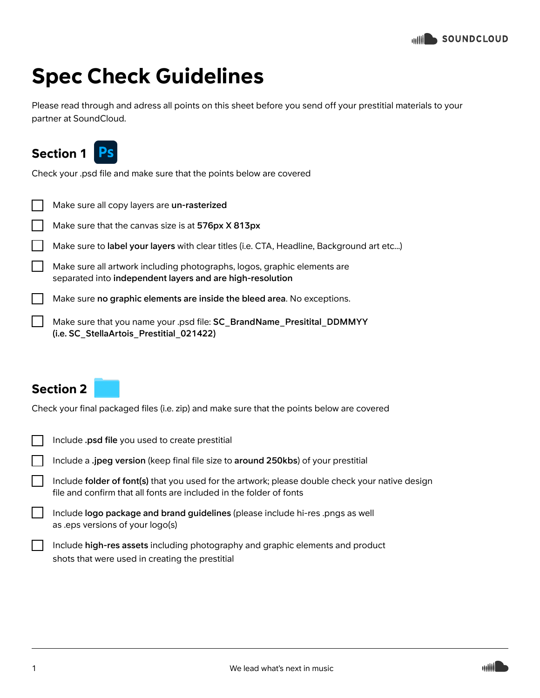## Spec Check Guidelines

Please read through and adress all points on this sheet before you send off your prestitial materials to your partner at SoundCloud.



Check your .psd file and make sure that the points below are covered

| Make sure all copy layers are un-rasterized                                                                                           |
|---------------------------------------------------------------------------------------------------------------------------------------|
| Make sure that the canvas size is at 576px X 813px                                                                                    |
| Make sure to label your layers with clear titles (i.e. CTA, Headline, Background art etc)                                             |
| Make sure all artwork including photographs, logos, graphic elements are<br>separated into independent layers and are high-resolution |
| Make sure no graphic elements are inside the bleed area. No exceptions.                                                               |
| Make sure that you name your .psd file: SC BrandName Presitital DDMMYY<br>(i.e. SC StellaArtois Prestitial 021422)                    |
|                                                                                                                                       |

## Section 2

Check your final packaged files (i.e. zip) and make sure that the points below are covered

| Include <b>.psd file</b> you used to create prestitial                                                                                                                 |
|------------------------------------------------------------------------------------------------------------------------------------------------------------------------|
| Include a .jpeg version (keep final file size to around 250kbs) of your prestitial                                                                                     |
| Include folder of font(s) that you used for the artwork; please double check your native design<br>file and confirm that all fonts are included in the folder of fonts |
| Include logo package and brand guidelines (please include hi-res .pngs as well<br>as eps versions of your logo(s)                                                      |
| Include high-res assets including photography and graphic elements and product<br>shots that were used in creating the prestitial                                      |